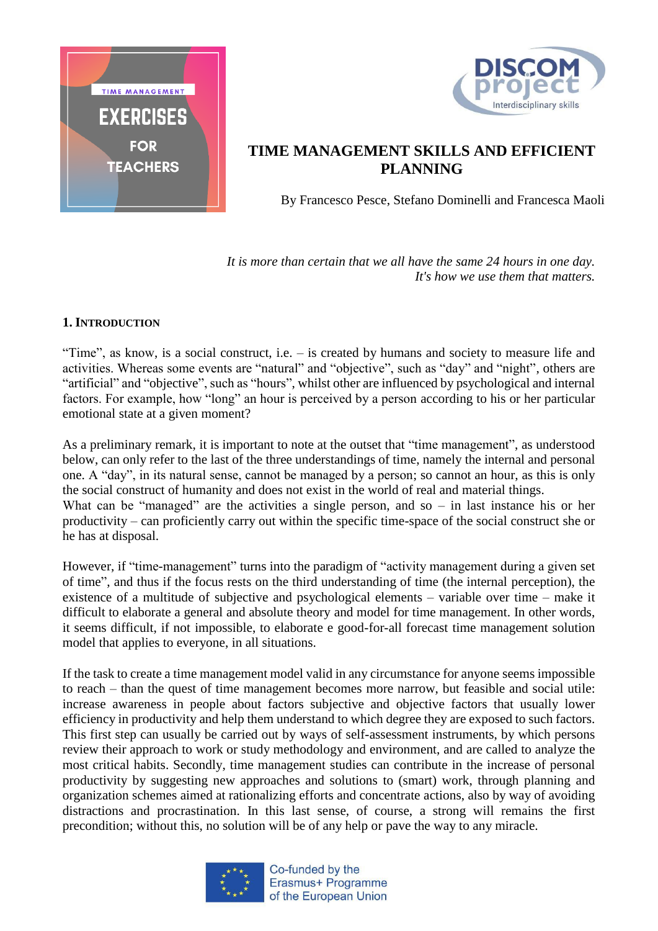



## **TIME MANAGEMENT SKILLS AND EFFICIENT PLANNING**

By Francesco Pesce, Stefano Dominelli and Francesca Maoli

*It is more than certain that we all have the same 24 hours in one day. It's how we use them that matters.*

## **1. INTRODUCTION**

"Time", as know, is a social construct, i.e. – is created by humans and society to measure life and activities. Whereas some events are "natural" and "objective", such as "day" and "night", others are "artificial" and "objective", such as "hours", whilst other are influenced by psychological and internal factors. For example, how "long" an hour is perceived by a person according to his or her particular emotional state at a given moment?

As a preliminary remark, it is important to note at the outset that "time management", as understood below, can only refer to the last of the three understandings of time, namely the internal and personal one. A "day", in its natural sense, cannot be managed by a person; so cannot an hour, as this is only the social construct of humanity and does not exist in the world of real and material things. What can be "managed" are the activities a single person, and so  $-$  in last instance his or her productivity – can proficiently carry out within the specific time-space of the social construct she or he has at disposal.

However, if "time-management" turns into the paradigm of "activity management during a given set of time", and thus if the focus rests on the third understanding of time (the internal perception), the existence of a multitude of subjective and psychological elements – variable over time – make it difficult to elaborate a general and absolute theory and model for time management. In other words, it seems difficult, if not impossible, to elaborate e good-for-all forecast time management solution model that applies to everyone, in all situations.

If the task to create a time management model valid in any circumstance for anyone seems impossible to reach – than the quest of time management becomes more narrow, but feasible and social utile: increase awareness in people about factors subjective and objective factors that usually lower efficiency in productivity and help them understand to which degree they are exposed to such factors. This first step can usually be carried out by ways of self-assessment instruments, by which persons review their approach to work or study methodology and environment, and are called to analyze the most critical habits. Secondly, time management studies can contribute in the increase of personal productivity by suggesting new approaches and solutions to (smart) work, through planning and organization schemes aimed at rationalizing efforts and concentrate actions, also by way of avoiding distractions and procrastination. In this last sense, of course, a strong will remains the first precondition; without this, no solution will be of any help or pave the way to any miracle.



Co-funded by the Erasmus+ Programme of the European Union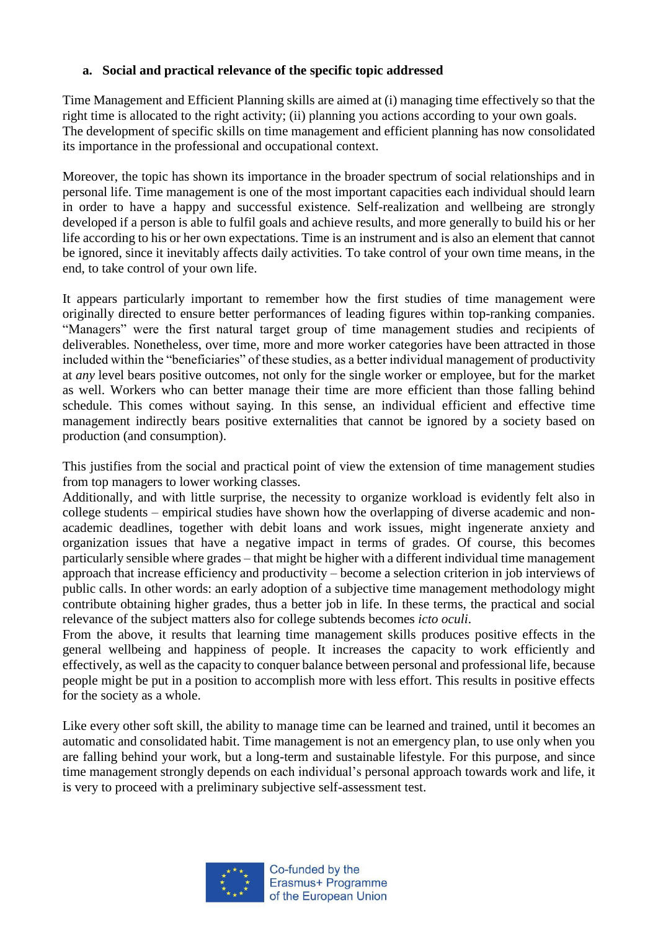## **a. Social and practical relevance of the specific topic addressed**

Time Management and Efficient Planning skills are aimed at (i) managing time effectively so that the right time is allocated to the right activity; (ii) planning you actions according to your own goals. The development of specific skills on time management and efficient planning has now consolidated its importance in the professional and occupational context.

Moreover, the topic has shown its importance in the broader spectrum of social relationships and in personal life. Time management is one of the most important capacities each individual should learn in order to have a happy and successful existence. Self-realization and wellbeing are strongly developed if a person is able to fulfil goals and achieve results, and more generally to build his or her life according to his or her own expectations. Time is an instrument and is also an element that cannot be ignored, since it inevitably affects daily activities. To take control of your own time means, in the end, to take control of your own life.

It appears particularly important to remember how the first studies of time management were originally directed to ensure better performances of leading figures within top-ranking companies. "Managers" were the first natural target group of time management studies and recipients of deliverables. Nonetheless, over time, more and more worker categories have been attracted in those included within the "beneficiaries" of these studies, as a better individual management of productivity at *any* level bears positive outcomes, not only for the single worker or employee, but for the market as well. Workers who can better manage their time are more efficient than those falling behind schedule. This comes without saying. In this sense, an individual efficient and effective time management indirectly bears positive externalities that cannot be ignored by a society based on production (and consumption).

This justifies from the social and practical point of view the extension of time management studies from top managers to lower working classes.

Additionally, and with little surprise, the necessity to organize workload is evidently felt also in college students – empirical studies have shown how the overlapping of diverse academic and nonacademic deadlines, together with debit loans and work issues, might ingenerate anxiety and organization issues that have a negative impact in terms of grades. Of course, this becomes particularly sensible where grades – that might be higher with a different individual time management approach that increase efficiency and productivity – become a selection criterion in job interviews of public calls. In other words: an early adoption of a subjective time management methodology might contribute obtaining higher grades, thus a better job in life. In these terms, the practical and social relevance of the subject matters also for college subtends becomes *icto oculi*.

From the above, it results that learning time management skills produces positive effects in the general wellbeing and happiness of people. It increases the capacity to work efficiently and effectively, as well as the capacity to conquer balance between personal and professional life, because people might be put in a position to accomplish more with less effort. This results in positive effects for the society as a whole.

Like every other soft skill, the ability to manage time can be learned and trained, until it becomes an automatic and consolidated habit. Time management is not an emergency plan, to use only when you are falling behind your work, but a long-term and sustainable lifestyle. For this purpose, and since time management strongly depends on each individual's personal approach towards work and life, it is very to proceed with a preliminary subjective self-assessment test.

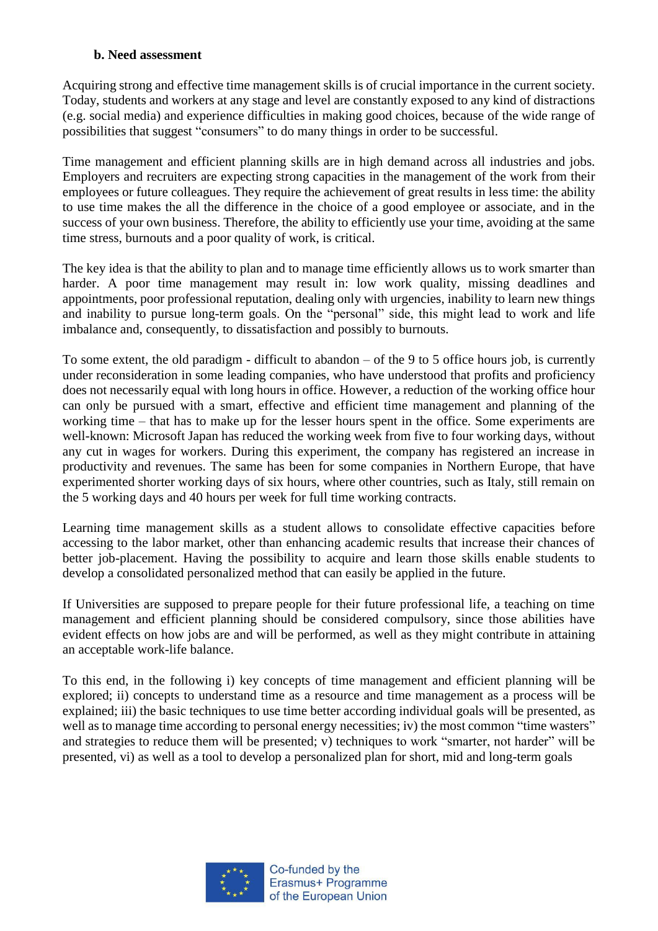### **b. Need assessment**

Acquiring strong and effective time management skills is of crucial importance in the current society. Today, students and workers at any stage and level are constantly exposed to any kind of distractions (e.g. social media) and experience difficulties in making good choices, because of the wide range of possibilities that suggest "consumers" to do many things in order to be successful.

Time management and efficient planning skills are in high demand across all industries and jobs. Employers and recruiters are expecting strong capacities in the management of the work from their employees or future colleagues. They require the achievement of great results in less time: the ability to use time makes the all the difference in the choice of a good employee or associate, and in the success of your own business. Therefore, the ability to efficiently use your time, avoiding at the same time stress, burnouts and a poor quality of work, is critical.

The key idea is that the ability to plan and to manage time efficiently allows us to work smarter than harder. A poor time management may result in: low work quality, missing deadlines and appointments, poor professional reputation, dealing only with urgencies, inability to learn new things and inability to pursue long-term goals. On the "personal" side, this might lead to work and life imbalance and, consequently, to dissatisfaction and possibly to burnouts.

To some extent, the old paradigm - difficult to abandon – of the 9 to 5 office hours job, is currently under reconsideration in some leading companies, who have understood that profits and proficiency does not necessarily equal with long hours in office. However, a reduction of the working office hour can only be pursued with a smart, effective and efficient time management and planning of the working time – that has to make up for the lesser hours spent in the office. Some experiments are well-known: Microsoft Japan has reduced the working week from five to four working days, without any cut in wages for workers. During this experiment, the company has registered an increase in productivity and revenues. The same has been for some companies in Northern Europe, that have experimented shorter working days of six hours, where other countries, such as Italy, still remain on the 5 working days and 40 hours per week for full time working contracts.

Learning time management skills as a student allows to consolidate effective capacities before accessing to the labor market, other than enhancing academic results that increase their chances of better job-placement. Having the possibility to acquire and learn those skills enable students to develop a consolidated personalized method that can easily be applied in the future.

If Universities are supposed to prepare people for their future professional life, a teaching on time management and efficient planning should be considered compulsory, since those abilities have evident effects on how jobs are and will be performed, as well as they might contribute in attaining an acceptable work-life balance.

To this end, in the following i) key concepts of time management and efficient planning will be explored; ii) concepts to understand time as a resource and time management as a process will be explained; iii) the basic techniques to use time better according individual goals will be presented, as well as to manage time according to personal energy necessities; iv) the most common "time wasters" and strategies to reduce them will be presented; v) techniques to work "smarter, not harder" will be presented, vi) as well as a tool to develop a personalized plan for short, mid and long-term goals

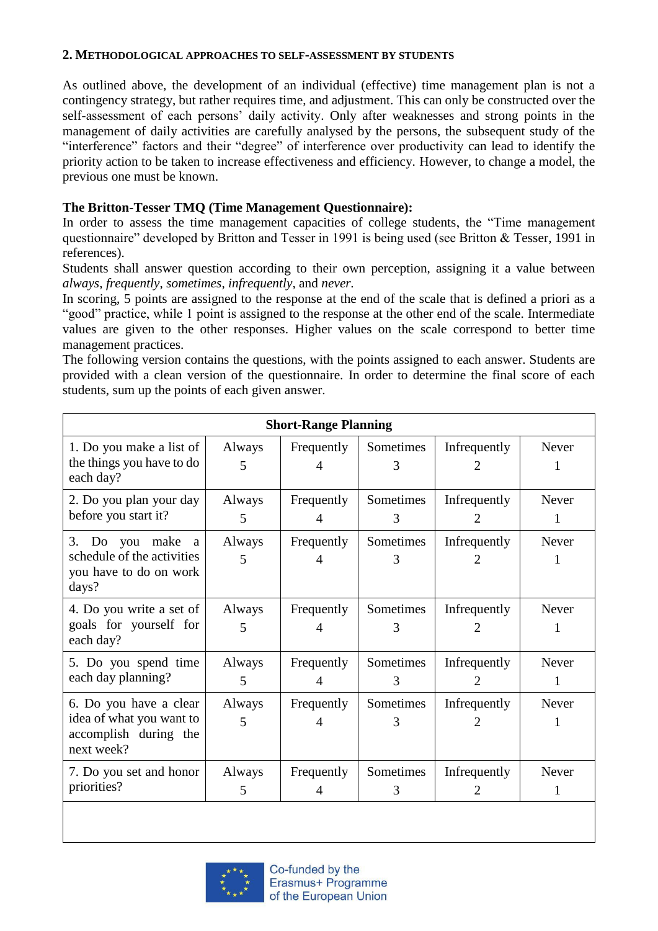### **2. METHODOLOGICAL APPROACHES TO SELF-ASSESSMENT BY STUDENTS**

As outlined above, the development of an individual (effective) time management plan is not a contingency strategy, but rather requires time, and adjustment. This can only be constructed over the self-assessment of each persons' daily activity. Only after weaknesses and strong points in the management of daily activities are carefully analysed by the persons, the subsequent study of the "interference" factors and their "degree" of interference over productivity can lead to identify the priority action to be taken to increase effectiveness and efficiency. However, to change a model, the previous one must be known.

## **The Britton-Tesser TMQ (Time Management Questionnaire):**

In order to assess the time management capacities of college students, the "Time management questionnaire" developed by Britton and Tesser in 1991 is being used (see Britton & Tesser, 1991 in references).

Students shall answer question according to their own perception, assigning it a value between *always*, *frequently*, *sometimes*, *infrequently*, and *never.*

In scoring, 5 points are assigned to the response at the end of the scale that is defined a priori as a "good" practice, while 1 point is assigned to the response at the other end of the scale. Intermediate values are given to the other responses. Higher values on the scale correspond to better time management practices.

The following version contains the questions, with the points assigned to each answer. Students are provided with a clean version of the questionnaire. In order to determine the final score of each students, sum up the points of each given answer.

| <b>Short-Range Planning</b>                                                                     |             |                 |                |                                |                   |
|-------------------------------------------------------------------------------------------------|-------------|-----------------|----------------|--------------------------------|-------------------|
| 1. Do you make a list of<br>the things you have to do<br>each day?                              | Always<br>5 | Frequently<br>4 | Sometimes<br>3 | Infrequently<br>2.             | Never<br>1        |
| 2. Do you plan your day<br>before you start it?                                                 | Always<br>5 | Frequently<br>4 | Sometimes<br>3 | Infrequently<br>2.             | Never<br>1        |
| 3. Do you make<br><sub>a</sub><br>schedule of the activities<br>you have to do on work<br>days? | Always<br>5 | Frequently<br>4 | Sometimes<br>3 | Infrequently<br>2              | Never             |
| 4. Do you write a set of<br>goals for yourself for<br>each day?                                 | Always<br>5 | Frequently<br>4 | Sometimes<br>3 | Infrequently<br>2              | Never<br>1        |
| 5. Do you spend time<br>each day planning?                                                      | Always<br>5 | Frequently<br>4 | Sometimes<br>3 | Infrequently<br>$\mathfrak{D}$ | Never<br>1        |
| 6. Do you have a clear<br>idea of what you want to<br>accomplish during the<br>next week?       | Always<br>5 | Frequently<br>4 | Sometimes<br>3 | Infrequently                   | <b>Never</b><br>1 |
| 7. Do you set and honor<br>priorities?                                                          | Always<br>5 | Frequently<br>4 | Sometimes<br>3 | Infrequently<br>$\overline{2}$ | Never<br>1        |

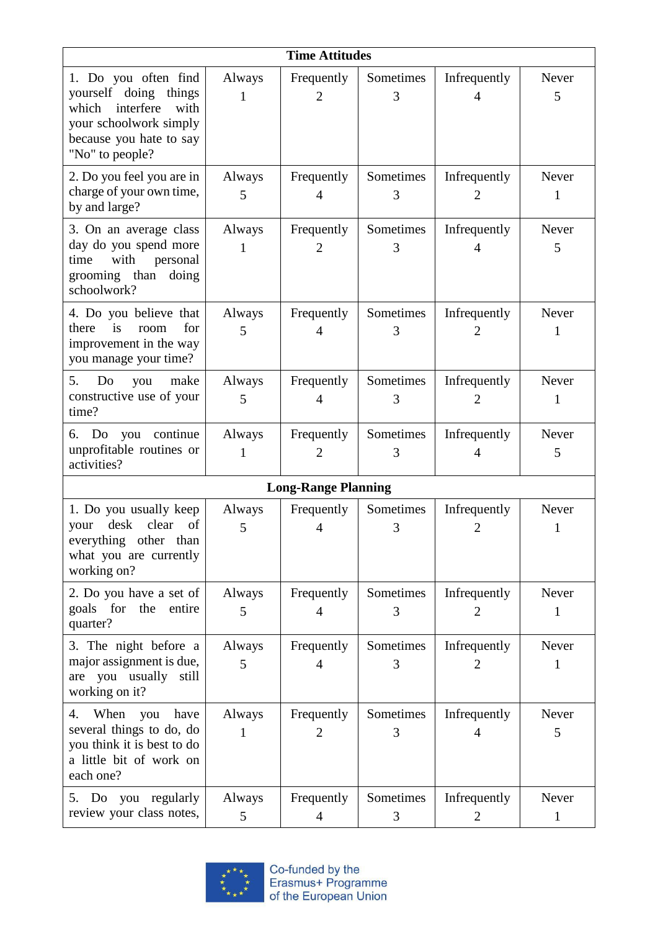| <b>Time Attitudes</b>                                                                                                                                  |             |                              |                |                                |                       |
|--------------------------------------------------------------------------------------------------------------------------------------------------------|-------------|------------------------------|----------------|--------------------------------|-----------------------|
| 1. Do you often find<br>yourself doing<br>things<br>interfere<br>with<br>which<br>your schoolwork simply<br>because you hate to say<br>"No" to people? | Always<br>1 | Frequently<br>$\overline{2}$ | Sometimes<br>3 | Infrequently<br>$\overline{4}$ | Never<br>5            |
| 2. Do you feel you are in<br>charge of your own time,<br>by and large?                                                                                 | Always<br>5 | Frequently<br>4              | Sometimes<br>3 | Infrequently<br>2              | Never<br>1            |
| 3. On an average class<br>day do you spend more<br>with<br>time<br>personal<br>grooming than doing<br>schoolwork?                                      | Always<br>1 | Frequently<br>2              | Sometimes<br>3 | Infrequently                   | Never<br>5            |
| 4. Do you believe that<br>is<br>for<br>there<br>room<br>improvement in the way<br>you manage your time?                                                | Always<br>5 | Frequently<br>4              | Sometimes<br>3 | Infrequently<br>2              | Never<br>1            |
| 5.<br>Do<br>make<br>you<br>constructive use of your<br>time?                                                                                           | Always<br>5 | Frequently<br>4              | Sometimes<br>3 | Infrequently<br>2              | Never<br>1            |
| continue<br>6.<br>Do you<br>unprofitable routines or<br>activities?                                                                                    | Always<br>1 | Frequently<br>2              | Sometimes<br>3 | Infrequently<br>4              | Never<br>5            |
| <b>Long-Range Planning</b>                                                                                                                             |             |                              |                |                                |                       |
| 1. Do you usually keep<br>desk<br>clear<br>of<br>your<br>everything other than<br>what you are currently<br>working on?                                | Always<br>5 | Frequently<br>4              | Sometimes<br>3 | Infrequently<br>$\overline{2}$ | Never<br>1            |
| 2. Do you have a set of<br>for<br>the<br>goals<br>entire<br>quarter?                                                                                   | Always<br>5 | Frequently<br>4              | Sometimes<br>3 | Infrequently<br>2              | Never<br>1            |
| 3. The night before a<br>major assignment is due,<br>you usually<br>still<br>are<br>working on it?                                                     | Always<br>5 | Frequently<br>4              | Sometimes<br>3 | Infrequently<br>2              | Never<br>1            |
| When<br>you<br>have<br>4.<br>several things to do, do<br>you think it is best to do<br>a little bit of work on<br>each one?                            | Always<br>1 | Frequently<br>$\overline{2}$ | Sometimes<br>3 | Infrequently<br>4              | Never<br>5            |
| 5. Do you regularly<br>review your class notes,                                                                                                        | Always<br>5 | Frequently<br>4              | Sometimes<br>3 | Infrequently<br>$\overline{2}$ | Never<br>$\mathbf{1}$ |

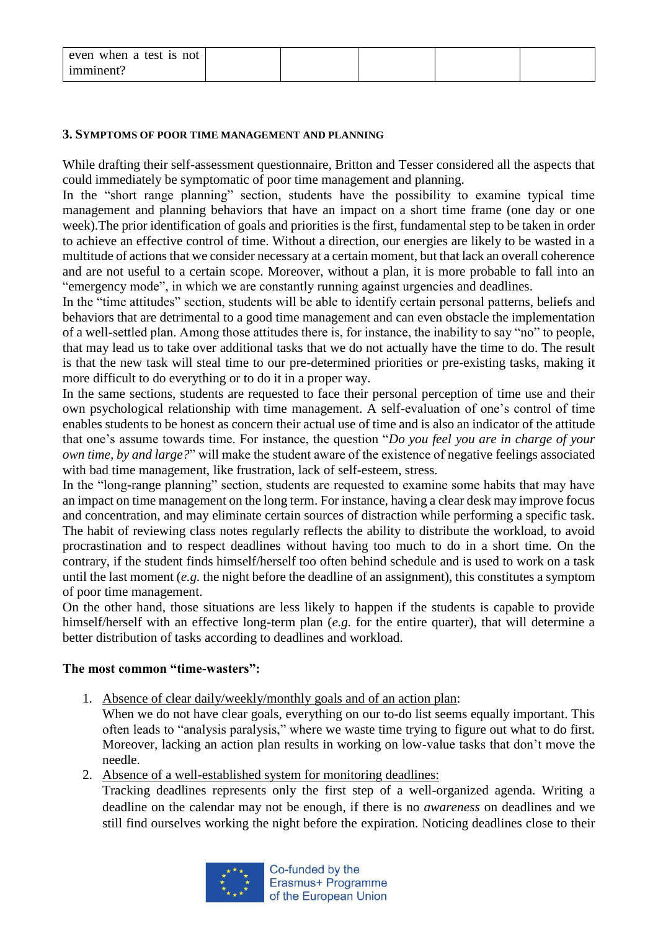| even when a test is not |  |  |  |
|-------------------------|--|--|--|
| imminent?               |  |  |  |

### **3. SYMPTOMS OF POOR TIME MANAGEMENT AND PLANNING**

While drafting their self-assessment questionnaire, Britton and Tesser considered all the aspects that could immediately be symptomatic of poor time management and planning.

In the "short range planning" section, students have the possibility to examine typical time management and planning behaviors that have an impact on a short time frame (one day or one week).The prior identification of goals and priorities is the first, fundamental step to be taken in order to achieve an effective control of time. Without a direction, our energies are likely to be wasted in a multitude of actions that we consider necessary at a certain moment, but that lack an overall coherence and are not useful to a certain scope. Moreover, without a plan, it is more probable to fall into an "emergency mode", in which we are constantly running against urgencies and deadlines.

In the "time attitudes" section, students will be able to identify certain personal patterns, beliefs and behaviors that are detrimental to a good time management and can even obstacle the implementation of a well-settled plan. Among those attitudes there is, for instance, the inability to say "no" to people, that may lead us to take over additional tasks that we do not actually have the time to do. The result is that the new task will steal time to our pre-determined priorities or pre-existing tasks, making it more difficult to do everything or to do it in a proper way.

In the same sections, students are requested to face their personal perception of time use and their own psychological relationship with time management. A self-evaluation of one's control of time enables students to be honest as concern their actual use of time and is also an indicator of the attitude that one's assume towards time. For instance, the question "*Do you feel you are in charge of your own time, by and large?*" will make the student aware of the existence of negative feelings associated with bad time management, like frustration, lack of self-esteem, stress.

In the "long-range planning" section, students are requested to examine some habits that may have an impact on time management on the long term. For instance, having a clear desk may improve focus and concentration, and may eliminate certain sources of distraction while performing a specific task. The habit of reviewing class notes regularly reflects the ability to distribute the workload, to avoid procrastination and to respect deadlines without having too much to do in a short time. On the contrary, if the student finds himself/herself too often behind schedule and is used to work on a task until the last moment (*e.g.* the night before the deadline of an assignment), this constitutes a symptom of poor time management.

On the other hand, those situations are less likely to happen if the students is capable to provide himself/herself with an effective long-term plan (*e.g.* for the entire quarter), that will determine a better distribution of tasks according to deadlines and workload.

### **The most common "time-wasters":**

1. Absence of clear daily/weekly/monthly goals and of an action plan:

When we do not have clear goals, everything on our to-do list seems equally important. This often leads to "analysis paralysis," where we waste time trying to figure out what to do first. Moreover, lacking an action plan results in working on low-value tasks that don't move the needle.

2. Absence of a well-established system for monitoring deadlines:

Tracking deadlines represents only the first step of a well-organized agenda. Writing a deadline on the calendar may not be enough, if there is no *awareness* on deadlines and we still find ourselves working the night before the expiration. Noticing deadlines close to their

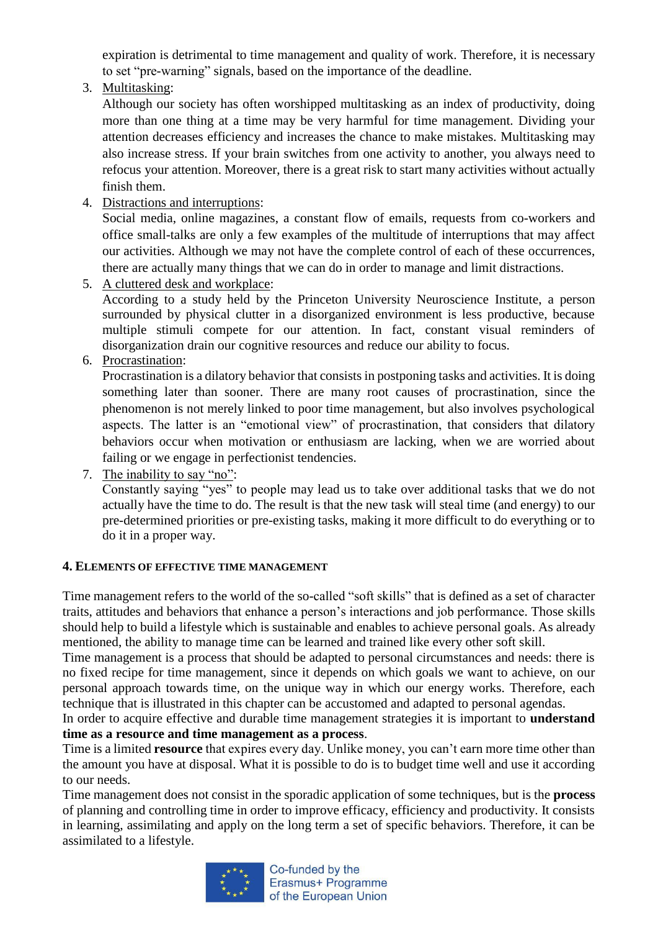expiration is detrimental to time management and quality of work. Therefore, it is necessary to set "pre-warning" signals, based on the importance of the deadline.

3. Multitasking:

Although our society has often worshipped multitasking as an index of productivity, doing more than one thing at a time may be very harmful for time management. Dividing your attention decreases efficiency and increases the chance to make mistakes. Multitasking may also increase stress. If your brain switches from one activity to another, you always need to refocus your attention. Moreover, there is a great risk to start many activities without actually finish them.

4. Distractions and interruptions:

Social media, online magazines, a constant flow of emails, requests from co-workers and office small-talks are only a few examples of the multitude of interruptions that may affect our activities. Although we may not have the complete control of each of these occurrences, there are actually many things that we can do in order to manage and limit distractions.

5. A cluttered desk and workplace:

According to a study held by the Princeton University Neuroscience Institute, a person surrounded by physical clutter in a disorganized environment is less productive, because multiple stimuli compete for our attention. In fact, constant visual reminders of disorganization drain our cognitive resources and reduce our ability to focus.

6. Procrastination:

Procrastination is a dilatory behavior that consists in postponing tasks and activities. It is doing something later than sooner. There are many root causes of procrastination, since the phenomenon is not merely linked to poor time management, but also involves psychological aspects. The latter is an "emotional view" of procrastination, that considers that dilatory behaviors occur when motivation or enthusiasm are lacking, when we are worried about failing or we engage in perfectionist tendencies.

7. The inability to say "no":

Constantly saying "yes" to people may lead us to take over additional tasks that we do not actually have the time to do. The result is that the new task will steal time (and energy) to our pre-determined priorities or pre-existing tasks, making it more difficult to do everything or to do it in a proper way.

## **4. ELEMENTS OF EFFECTIVE TIME MANAGEMENT**

Time management refers to the world of the so-called "soft skills" that is defined as a set of character traits, attitudes and behaviors that enhance a person's interactions and job performance. Those skills should help to build a lifestyle which is sustainable and enables to achieve personal goals. As already mentioned, the ability to manage time can be learned and trained like every other soft skill.

Time management is a process that should be adapted to personal circumstances and needs: there is no fixed recipe for time management, since it depends on which goals we want to achieve, on our personal approach towards time, on the unique way in which our energy works. Therefore, each technique that is illustrated in this chapter can be accustomed and adapted to personal agendas.

In order to acquire effective and durable time management strategies it is important to **understand time as a resource and time management as a process**.

Time is a limited **resource** that expires every day. Unlike money, you can't earn more time other than the amount you have at disposal. What it is possible to do is to budget time well and use it according to our needs.

Time management does not consist in the sporadic application of some techniques, but is the **process** of planning and controlling time in order to improve efficacy, efficiency and productivity. It consists in learning, assimilating and apply on the long term a set of specific behaviors. Therefore, it can be assimilated to a lifestyle.



Co-funded by the Erasmus+ Programme of the European Union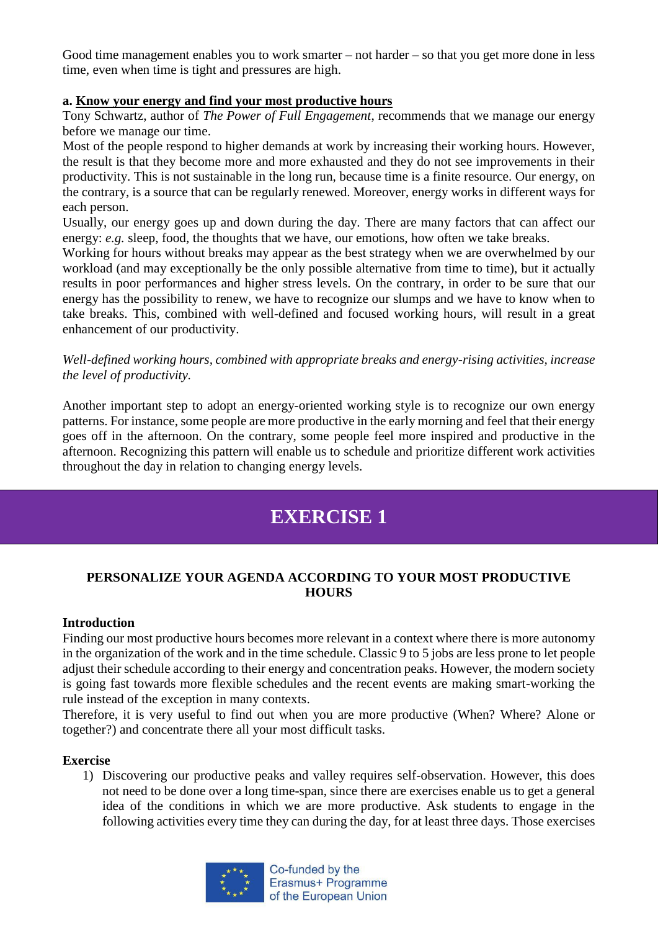Good time management enables you to work smarter – not harder – so that you get more done in less time, even when time is tight and pressures are high.

## **a. Know your energy and find your most productive hours**

Tony Schwartz, author of *The Power of Full Engagement*, recommends that we manage our energy before we manage our time.

Most of the people respond to higher demands at work by increasing their working hours. However, the result is that they become more and more exhausted and they do not see improvements in their productivity. This is not sustainable in the long run, because time is a finite resource. Our energy, on the contrary, is a source that can be regularly renewed. Moreover, energy works in different ways for each person.

Usually, our energy goes up and down during the day. There are many factors that can affect our energy: *e.g.* sleep, food, the thoughts that we have, our emotions, how often we take breaks.

Working for hours without breaks may appear as the best strategy when we are overwhelmed by our workload (and may exceptionally be the only possible alternative from time to time), but it actually results in poor performances and higher stress levels. On the contrary, in order to be sure that our energy has the possibility to renew, we have to recognize our slumps and we have to know when to take breaks. This, combined with well-defined and focused working hours, will result in a great enhancement of our productivity.

*Well-defined working hours, combined with appropriate breaks and energy-rising activities, increase the level of productivity.* 

Another important step to adopt an energy-oriented working style is to recognize our own energy patterns. For instance, some people are more productive in the early morning and feel that their energy goes off in the afternoon. On the contrary, some people feel more inspired and productive in the afternoon. Recognizing this pattern will enable us to schedule and prioritize different work activities throughout the day in relation to changing energy levels.

# **EXERCISE 1**

## **PERSONALIZE YOUR AGENDA ACCORDING TO YOUR MOST PRODUCTIVE HOURS**

### **Introduction**

Finding our most productive hours becomes more relevant in a context where there is more autonomy in the organization of the work and in the time schedule. Classic 9 to 5 jobs are less prone to let people adjust their schedule according to their energy and concentration peaks. However, the modern society is going fast towards more flexible schedules and the recent events are making smart-working the rule instead of the exception in many contexts.

Therefore, it is very useful to find out when you are more productive (When? Where? Alone or together?) and concentrate there all your most difficult tasks.

### **Exercise**

1) Discovering our productive peaks and valley requires self-observation. However, this does not need to be done over a long time-span, since there are exercises enable us to get a general idea of the conditions in which we are more productive. Ask students to engage in the following activities every time they can during the day, for at least three days. Those exercises

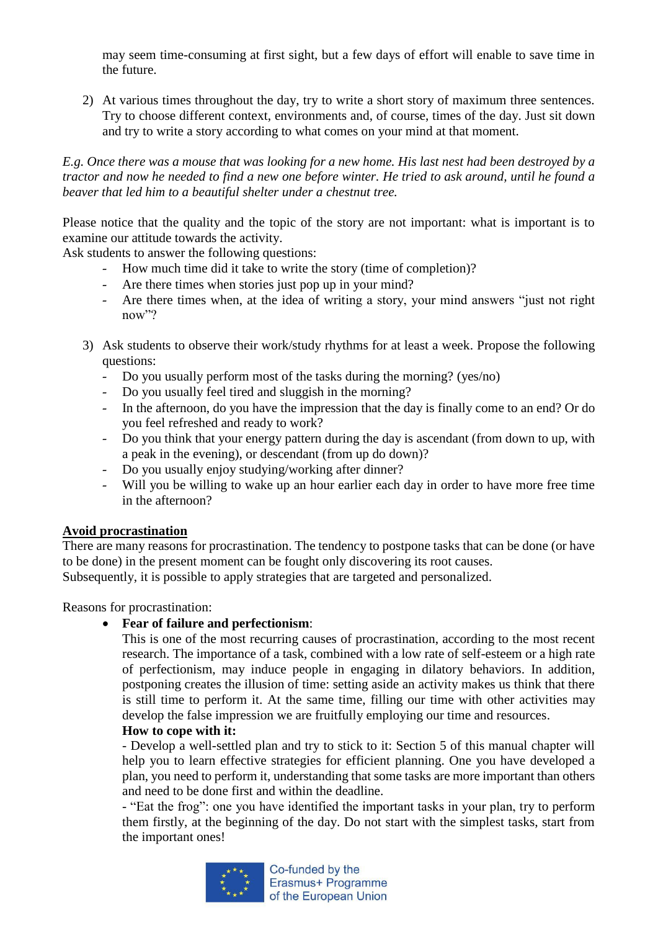may seem time-consuming at first sight, but a few days of effort will enable to save time in the future.

2) At various times throughout the day, try to write a short story of maximum three sentences. Try to choose different context, environments and, of course, times of the day. Just sit down and try to write a story according to what comes on your mind at that moment.

## *E.g. Once there was a mouse that was looking for a new home. His last nest had been destroyed by a tractor and now he needed to find a new one before winter. He tried to ask around, until he found a beaver that led him to a beautiful shelter under a chestnut tree.*

Please notice that the quality and the topic of the story are not important: what is important is to examine our attitude towards the activity.

Ask students to answer the following questions:

- How much time did it take to write the story (time of completion)?
- Are there times when stories just pop up in your mind?
- Are there times when, at the idea of writing a story, your mind answers "just not right now"?
- 3) Ask students to observe their work/study rhythms for at least a week. Propose the following questions:
	- Do you usually perform most of the tasks during the morning? (yes/no)
	- Do you usually feel tired and sluggish in the morning?
	- In the afternoon, do you have the impression that the day is finally come to an end? Or do you feel refreshed and ready to work?
	- Do you think that your energy pattern during the day is ascendant (from down to up, with a peak in the evening), or descendant (from up do down)?
	- Do you usually enjoy studying/working after dinner?
	- Will you be willing to wake up an hour earlier each day in order to have more free time in the afternoon?

## **Avoid procrastination**

There are many reasons for procrastination. The tendency to postpone tasks that can be done (or have to be done) in the present moment can be fought only discovering its root causes.

Subsequently, it is possible to apply strategies that are targeted and personalized.

Reasons for procrastination:

**Fear of failure and perfectionism**:

This is one of the most recurring causes of procrastination, according to the most recent research. The importance of a task, combined with a low rate of self-esteem or a high rate of perfectionism, may induce people in engaging in dilatory behaviors. In addition, postponing creates the illusion of time: setting aside an activity makes us think that there is still time to perform it. At the same time, filling our time with other activities may develop the false impression we are fruitfully employing our time and resources.

## **How to cope with it:**

- Develop a well-settled plan and try to stick to it: Section 5 of this manual chapter will help you to learn effective strategies for efficient planning. One you have developed a plan, you need to perform it, understanding that some tasks are more important than others and need to be done first and within the deadline.

- "Eat the frog": one you have identified the important tasks in your plan, try to perform them firstly, at the beginning of the day. Do not start with the simplest tasks, start from the important ones!

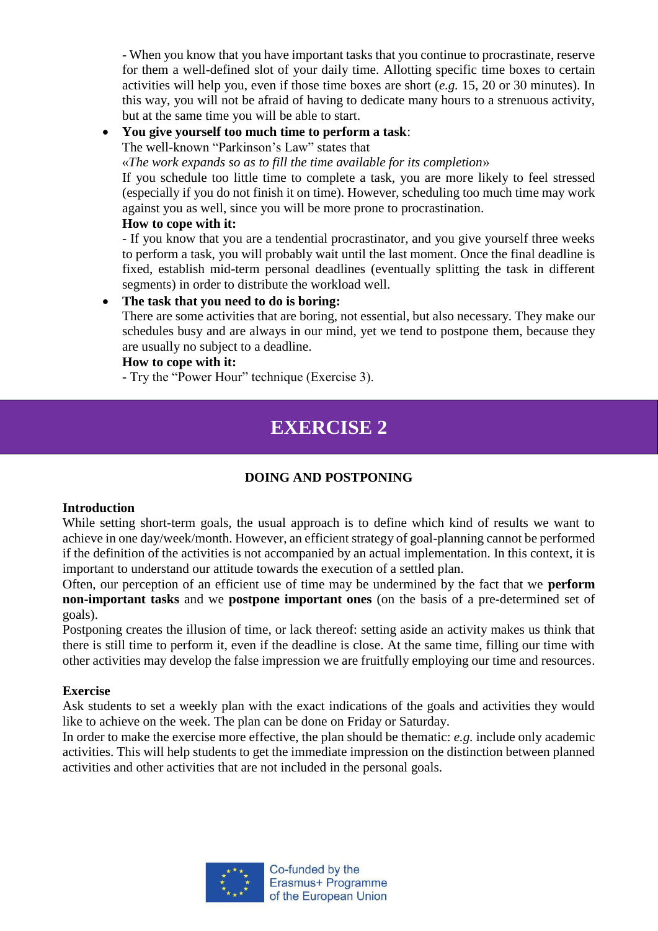- When you know that you have important tasks that you continue to procrastinate, reserve for them a well-defined slot of your daily time. Allotting specific time boxes to certain activities will help you, even if those time boxes are short (*e.g.* 15, 20 or 30 minutes). In this way, you will not be afraid of having to dedicate many hours to a strenuous activity, but at the same time you will be able to start.

**You give yourself too much time to perform a task**:

The well-known "Parkinson's Law" states that

«*The work expands so as to fill the time available for its completion*»

If you schedule too little time to complete a task, you are more likely to feel stressed (especially if you do not finish it on time). However, scheduling too much time may work against you as well, since you will be more prone to procrastination.

### **How to cope with it:**

- If you know that you are a tendential procrastinator, and you give yourself three weeks to perform a task, you will probably wait until the last moment. Once the final deadline is fixed, establish mid-term personal deadlines (eventually splitting the task in different segments) in order to distribute the workload well.

## **The task that you need to do is boring:**

There are some activities that are boring, not essential, but also necessary. They make our schedules busy and are always in our mind, yet we tend to postpone them, because they are usually no subject to a deadline.

## **How to cope with it:**

- Try the "Power Hour" technique (Exercise 3).

# **EXERCISE 2**

## **DOING AND POSTPONING**

### **Introduction**

While setting short-term goals, the usual approach is to define which kind of results we want to achieve in one day/week/month. However, an efficient strategy of goal-planning cannot be performed if the definition of the activities is not accompanied by an actual implementation. In this context, it is important to understand our attitude towards the execution of a settled plan.

Often, our perception of an efficient use of time may be undermined by the fact that we **perform non-important tasks** and we **postpone important ones** (on the basis of a pre-determined set of goals).

Postponing creates the illusion of time, or lack thereof: setting aside an activity makes us think that there is still time to perform it, even if the deadline is close. At the same time, filling our time with other activities may develop the false impression we are fruitfully employing our time and resources.

## **Exercise**

Ask students to set a weekly plan with the exact indications of the goals and activities they would like to achieve on the week. The plan can be done on Friday or Saturday.

In order to make the exercise more effective, the plan should be thematic: *e.g.* include only academic activities. This will help students to get the immediate impression on the distinction between planned activities and other activities that are not included in the personal goals.

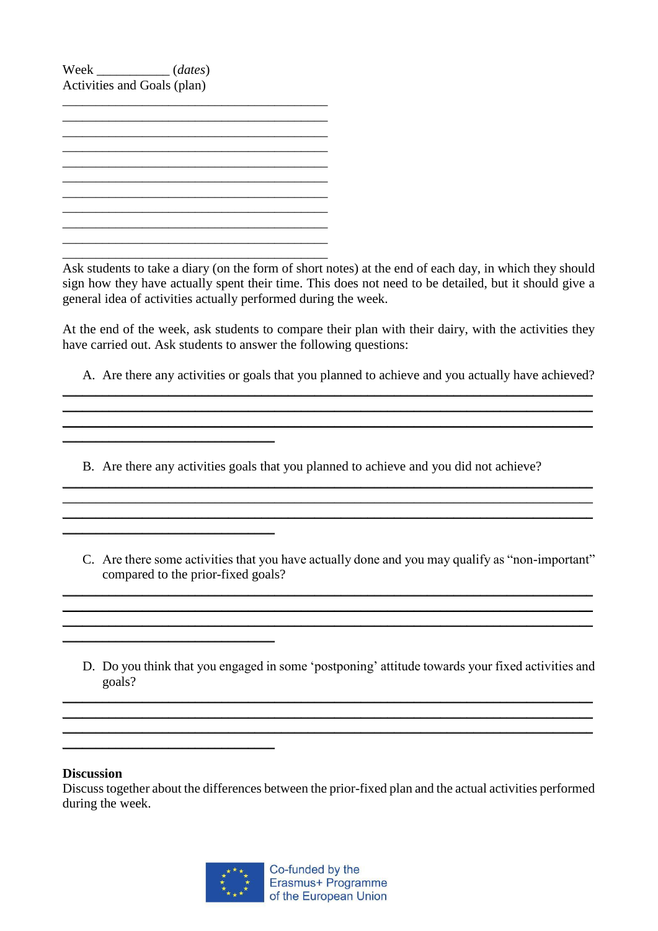Week \_\_\_\_\_\_\_\_\_\_\_ (*dates*) Activities and Goals (plan)

 $\mathcal{L}_\text{max}$ \_\_\_\_\_\_\_\_\_\_\_\_\_\_\_\_\_\_\_\_\_\_\_\_\_\_\_\_\_\_\_\_\_\_\_\_\_\_\_\_ \_\_\_\_\_\_\_\_\_\_\_\_\_\_\_\_\_\_\_\_\_\_\_\_\_\_\_\_\_\_\_\_\_\_\_\_\_\_\_\_ \_\_\_\_\_\_\_\_\_\_\_\_\_\_\_\_\_\_\_\_\_\_\_\_\_\_\_\_\_\_\_\_\_\_\_\_\_\_\_\_ \_\_\_\_\_\_\_\_\_\_\_\_\_\_\_\_\_\_\_\_\_\_\_\_\_\_\_\_\_\_\_\_\_\_\_\_\_\_\_\_ \_\_\_\_\_\_\_\_\_\_\_\_\_\_\_\_\_\_\_\_\_\_\_\_\_\_\_\_\_\_\_\_\_\_\_\_\_\_\_\_ \_\_\_\_\_\_\_\_\_\_\_\_\_\_\_\_\_\_\_\_\_\_\_\_\_\_\_\_\_\_\_\_\_\_\_\_\_\_\_\_

 $\mathcal{L}=\mathcal{L}=\mathcal{L}=\mathcal{L}=\mathcal{L}=\mathcal{L}=\mathcal{L}=\mathcal{L}=\mathcal{L}=\mathcal{L}=\mathcal{L}=\mathcal{L}=\mathcal{L}=\mathcal{L}=\mathcal{L}=\mathcal{L}=\mathcal{L}=\mathcal{L}=\mathcal{L}=\mathcal{L}=\mathcal{L}=\mathcal{L}=\mathcal{L}=\mathcal{L}=\mathcal{L}=\mathcal{L}=\mathcal{L}=\mathcal{L}=\mathcal{L}=\mathcal{L}=\mathcal{L}=\mathcal{L}=\mathcal{L}=\mathcal{L}=\mathcal{L}=\mathcal{L}=\mathcal{$ 

 $\mathcal{L}=\mathcal{L}=\mathcal{L}=\mathcal{L}=\mathcal{L}=\mathcal{L}=\mathcal{L}=\mathcal{L}=\mathcal{L}=\mathcal{L}=\mathcal{L}=\mathcal{L}=\mathcal{L}=\mathcal{L}=\mathcal{L}=\mathcal{L}=\mathcal{L}=\mathcal{L}=\mathcal{L}=\mathcal{L}=\mathcal{L}=\mathcal{L}=\mathcal{L}=\mathcal{L}=\mathcal{L}=\mathcal{L}=\mathcal{L}=\mathcal{L}=\mathcal{L}=\mathcal{L}=\mathcal{L}=\mathcal{L}=\mathcal{L}=\mathcal{L}=\mathcal{L}=\mathcal{L}=\mathcal{$ 

 $\_$ 

\_\_\_\_\_\_\_\_\_\_\_\_\_\_\_\_\_\_\_\_\_\_\_\_\_\_\_\_\_\_\_\_

Ask students to take a diary (on the form of short notes) at the end of each day, in which they should sign how they have actually spent their time. This does not need to be detailed, but it should give a general idea of activities actually performed during the week.

At the end of the week, ask students to compare their plan with their dairy, with the activities they have carried out. Ask students to answer the following questions:

\_\_\_\_\_\_\_\_\_\_\_\_\_\_\_\_\_\_\_\_\_\_\_\_\_\_\_\_\_\_\_\_\_\_\_\_\_\_\_\_\_\_\_\_\_\_\_\_\_\_\_\_\_\_\_\_\_\_\_\_\_\_\_\_\_\_\_\_\_\_\_\_\_\_\_\_\_\_\_\_ \_\_\_\_\_\_\_\_\_\_\_\_\_\_\_\_\_\_\_\_\_\_\_\_\_\_\_\_\_\_\_\_\_\_\_\_\_\_\_\_\_\_\_\_\_\_\_\_\_\_\_\_\_\_\_\_\_\_\_\_\_\_\_\_\_\_\_\_\_\_\_\_\_\_\_\_\_\_\_\_

- A. Are there any activities or goals that you planned to achieve and you actually have achieved?
- B. Are there any activities goals that you planned to achieve and you did not achieve?

\_\_\_\_\_\_\_\_\_\_\_\_\_\_\_\_\_\_\_\_\_\_\_\_\_\_\_\_\_\_\_\_\_\_\_\_\_\_\_\_\_\_\_\_\_\_\_\_\_\_\_\_\_\_\_\_\_\_\_\_\_\_\_\_\_\_\_\_\_\_\_\_\_\_\_\_\_\_\_\_  $\mathcal{L}_\mathcal{L} = \mathcal{L}_\mathcal{L} = \mathcal{L}_\mathcal{L} = \mathcal{L}_\mathcal{L} = \mathcal{L}_\mathcal{L} = \mathcal{L}_\mathcal{L} = \mathcal{L}_\mathcal{L} = \mathcal{L}_\mathcal{L} = \mathcal{L}_\mathcal{L} = \mathcal{L}_\mathcal{L} = \mathcal{L}_\mathcal{L} = \mathcal{L}_\mathcal{L} = \mathcal{L}_\mathcal{L} = \mathcal{L}_\mathcal{L} = \mathcal{L}_\mathcal{L} = \mathcal{L}_\mathcal{L} = \mathcal{L}_\mathcal{L}$ \_\_\_\_\_\_\_\_\_\_\_\_\_\_\_\_\_\_\_\_\_\_\_\_\_\_\_\_\_\_\_\_\_\_\_\_\_\_\_\_\_\_\_\_\_\_\_\_\_\_\_\_\_\_\_\_\_\_\_\_\_\_\_\_\_\_\_\_\_\_\_\_\_\_\_\_\_\_\_\_

C. Are there some activities that you have actually done and you may qualify as "non-important" compared to the prior-fixed goals?

\_\_\_\_\_\_\_\_\_\_\_\_\_\_\_\_\_\_\_\_\_\_\_\_\_\_\_\_\_\_\_\_\_\_\_\_\_\_\_\_\_\_\_\_\_\_\_\_\_\_\_\_\_\_\_\_\_\_\_\_\_\_\_\_\_\_\_\_\_\_\_\_\_\_\_\_\_\_\_\_  $\_$  , and the set of the set of the set of the set of the set of the set of the set of the set of the set of the set of the set of the set of the set of the set of the set of the set of the set of the set of the set of th \_\_\_\_\_\_\_\_\_\_\_\_\_\_\_\_\_\_\_\_\_\_\_\_\_\_\_\_\_\_\_\_\_\_\_\_\_\_\_\_\_\_\_\_\_\_\_\_\_\_\_\_\_\_\_\_\_\_\_\_\_\_\_\_\_\_\_\_\_\_\_\_\_\_\_\_\_\_\_\_

D. Do you think that you engaged in some 'postponing' attitude towards your fixed activities and goals?

\_\_\_\_\_\_\_\_\_\_\_\_\_\_\_\_\_\_\_\_\_\_\_\_\_\_\_\_\_\_\_\_\_\_\_\_\_\_\_\_\_\_\_\_\_\_\_\_\_\_\_\_\_\_\_\_\_\_\_\_\_\_\_\_\_\_\_\_\_\_\_\_\_\_\_\_\_\_\_\_ \_\_\_\_\_\_\_\_\_\_\_\_\_\_\_\_\_\_\_\_\_\_\_\_\_\_\_\_\_\_\_\_\_\_\_\_\_\_\_\_\_\_\_\_\_\_\_\_\_\_\_\_\_\_\_\_\_\_\_\_\_\_\_\_\_\_\_\_\_\_\_\_\_\_\_\_\_\_\_\_ \_\_\_\_\_\_\_\_\_\_\_\_\_\_\_\_\_\_\_\_\_\_\_\_\_\_\_\_\_\_\_\_\_\_\_\_\_\_\_\_\_\_\_\_\_\_\_\_\_\_\_\_\_\_\_\_\_\_\_\_\_\_\_\_\_\_\_\_\_\_\_\_\_\_\_\_\_\_\_\_

### **Discussion**

Discuss together about the differences between the prior-fixed plan and the actual activities performed during the week.

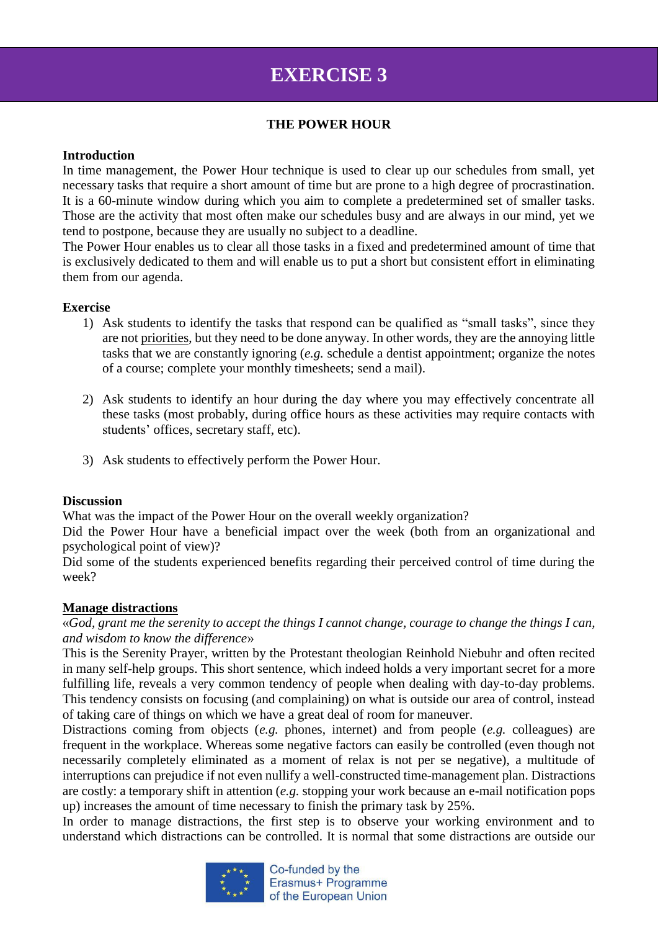# **EXERCISE 3**

## **THE POWER HOUR**

### **Introduction**

In time management, the Power Hour technique is used to clear up our schedules from small, yet necessary tasks that require a short amount of time but are prone to a high degree of procrastination. It is a 60-minute window during which you aim to complete a predetermined set of smaller tasks. Those are the activity that most often make our schedules busy and are always in our mind, yet we tend to postpone, because they are usually no subject to a deadline.

The Power Hour enables us to clear all those tasks in a fixed and predetermined amount of time that is exclusively dedicated to them and will enable us to put a short but consistent effort in eliminating them from our agenda.

## **Exercise**

- 1) Ask students to identify the tasks that respond can be qualified as "small tasks", since they are not priorities, but they need to be done anyway. In other words, they are the annoying little tasks that we are constantly ignoring (*e.g.* schedule a dentist appointment; organize the notes of a course; complete your monthly timesheets; send a mail).
- 2) Ask students to identify an hour during the day where you may effectively concentrate all these tasks (most probably, during office hours as these activities may require contacts with students' offices, secretary staff, etc).
- 3) Ask students to effectively perform the Power Hour.

## **Discussion**

What was the impact of the Power Hour on the overall weekly organization?

Did the Power Hour have a beneficial impact over the week (both from an organizational and psychological point of view)?

Did some of the students experienced benefits regarding their perceived control of time during the week?

## **Manage distractions**

«*God, grant me the serenity to accept the things I cannot change, courage to change the things I can, and wisdom to know the difference*»

This is the Serenity Prayer, written by the Protestant theologian Reinhold Niebuhr and often recited in many self-help groups. This short sentence, which indeed holds a very important secret for a more fulfilling life, reveals a very common tendency of people when dealing with day-to-day problems. This tendency consists on focusing (and complaining) on what is outside our area of control, instead of taking care of things on which we have a great deal of room for maneuver.

Distractions coming from objects (*e.g.* phones, internet) and from people (*e.g.* colleagues) are frequent in the workplace. Whereas some negative factors can easily be controlled (even though not necessarily completely eliminated as a moment of relax is not per se negative), a multitude of interruptions can prejudice if not even nullify a well-constructed time-management plan. Distractions are costly: a temporary shift in attention (*e.g.* stopping your work because an e-mail notification pops up) increases the amount of time necessary to finish the primary task by 25%.

In order to manage distractions, the first step is to observe your working environment and to understand which distractions can be controlled. It is normal that some distractions are outside our

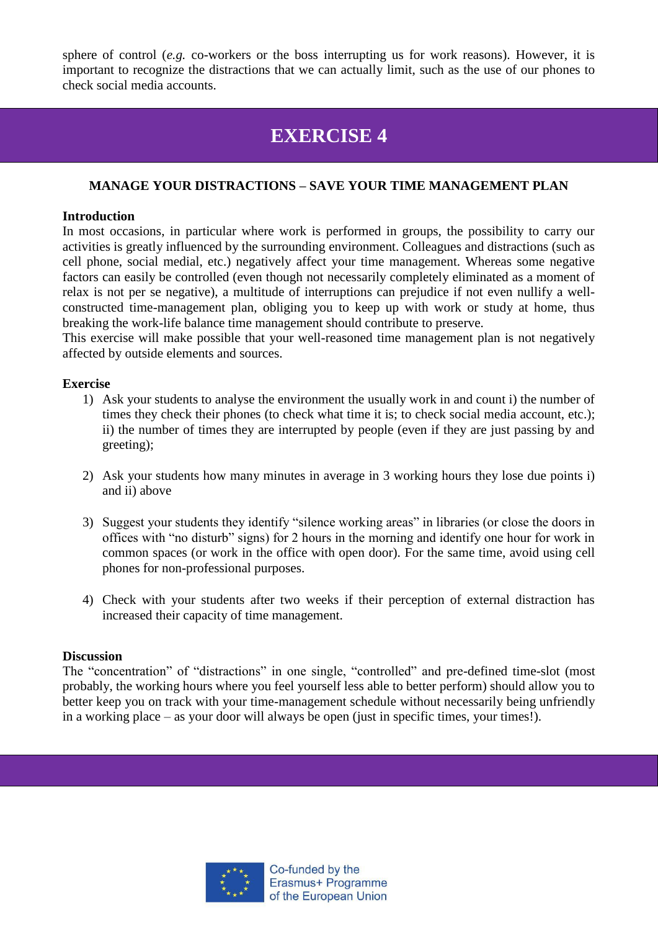sphere of control (*e.g.* co-workers or the boss interrupting us for work reasons). However, it is important to recognize the distractions that we can actually limit, such as the use of our phones to check social media accounts.

## **EXERCISE 4**

## **MANAGE YOUR DISTRACTIONS – SAVE YOUR TIME MANAGEMENT PLAN**

### **Introduction**

In most occasions, in particular where work is performed in groups, the possibility to carry our activities is greatly influenced by the surrounding environment. Colleagues and distractions (such as cell phone, social medial, etc.) negatively affect your time management. Whereas some negative factors can easily be controlled (even though not necessarily completely eliminated as a moment of relax is not per se negative), a multitude of interruptions can prejudice if not even nullify a wellconstructed time-management plan, obliging you to keep up with work or study at home, thus breaking the work-life balance time management should contribute to preserve.

This exercise will make possible that your well-reasoned time management plan is not negatively affected by outside elements and sources.

### **Exercise**

- 1) Ask your students to analyse the environment the usually work in and count i) the number of times they check their phones (to check what time it is; to check social media account, etc.); ii) the number of times they are interrupted by people (even if they are just passing by and greeting);
- 2) Ask your students how many minutes in average in 3 working hours they lose due points i) and ii) above
- 3) Suggest your students they identify "silence working areas" in libraries (or close the doors in offices with "no disturb" signs) for 2 hours in the morning and identify one hour for work in common spaces (or work in the office with open door). For the same time, avoid using cell phones for non-professional purposes.
- 4) Check with your students after two weeks if their perception of external distraction has increased their capacity of time management.

### **Discussion**

The "concentration" of "distractions" in one single, "controlled" and pre-defined time-slot (most probably, the working hours where you feel yourself less able to better perform) should allow you to better keep you on track with your time-management schedule without necessarily being unfriendly in a working place – as your door will always be open (just in specific times, your times!).

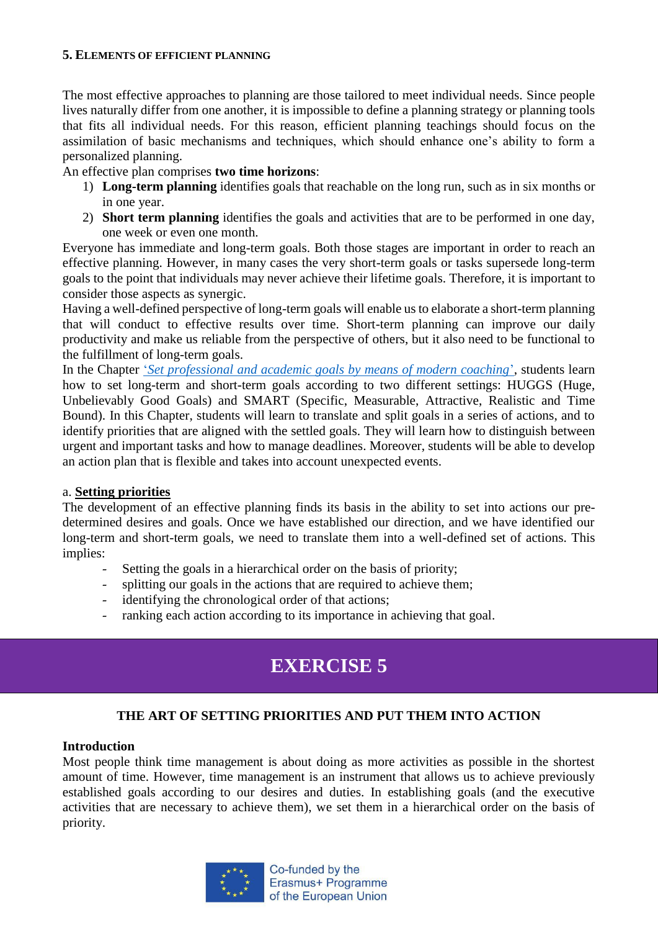### **5. ELEMENTS OF EFFICIENT PLANNING**

The most effective approaches to planning are those tailored to meet individual needs. Since people lives naturally differ from one another, it is impossible to define a planning strategy or planning tools that fits all individual needs. For this reason, efficient planning teachings should focus on the assimilation of basic mechanisms and techniques, which should enhance one's ability to form a personalized planning.

## An effective plan comprises **two time horizons**:

- 1) **Long-term planning** identifies goals that reachable on the long run, such as in six months or in one year.
- 2) **Short term planning** identifies the goals and activities that are to be performed in one day, one week or even one month.

Everyone has immediate and long-term goals. Both those stages are important in order to reach an effective planning. However, in many cases the very short-term goals or tasks supersede long-term goals to the point that individuals may never achieve their lifetime goals. Therefore, it is important to consider those aspects as synergic.

Having a well-defined perspective of long-term goals will enable us to elaborate a short-term planning that will conduct to effective results over time. Short-term planning can improve our daily productivity and make us reliable from the perspective of others, but it also need to be functional to the fulfillment of long-term goals.

In the Chapter '*[Set professional and academic goals by means of modern coaching](http://skills.turiba.lv/files/ARTICLE%20Setting%20the%20goals%20by%20means%20of%20coaching.pdf)*', students learn how to set long-term and short-term goals according to two different settings: HUGGS (Huge, Unbelievably Good Goals) and SMART (Specific, Measurable, Attractive, Realistic and Time Bound). In this Chapter, students will learn to translate and split goals in a series of actions, and to identify priorities that are aligned with the settled goals. They will learn how to distinguish between urgent and important tasks and how to manage deadlines. Moreover, students will be able to develop an action plan that is flexible and takes into account unexpected events.

### a. **Setting priorities**

The development of an effective planning finds its basis in the ability to set into actions our predetermined desires and goals. Once we have established our direction, and we have identified our long-term and short-term goals, we need to translate them into a well-defined set of actions. This implies:

- Setting the goals in a hierarchical order on the basis of priority;
- splitting our goals in the actions that are required to achieve them;
- identifying the chronological order of that actions;
- ranking each action according to its importance in achieving that goal.

# **EXERCISE 5**

## **THE ART OF SETTING PRIORITIES AND PUT THEM INTO ACTION**

### **Introduction**

Most people think time management is about doing as more activities as possible in the shortest amount of time. However, time management is an instrument that allows us to achieve previously established goals according to our desires and duties. In establishing goals (and the executive activities that are necessary to achieve them), we set them in a hierarchical order on the basis of priority.

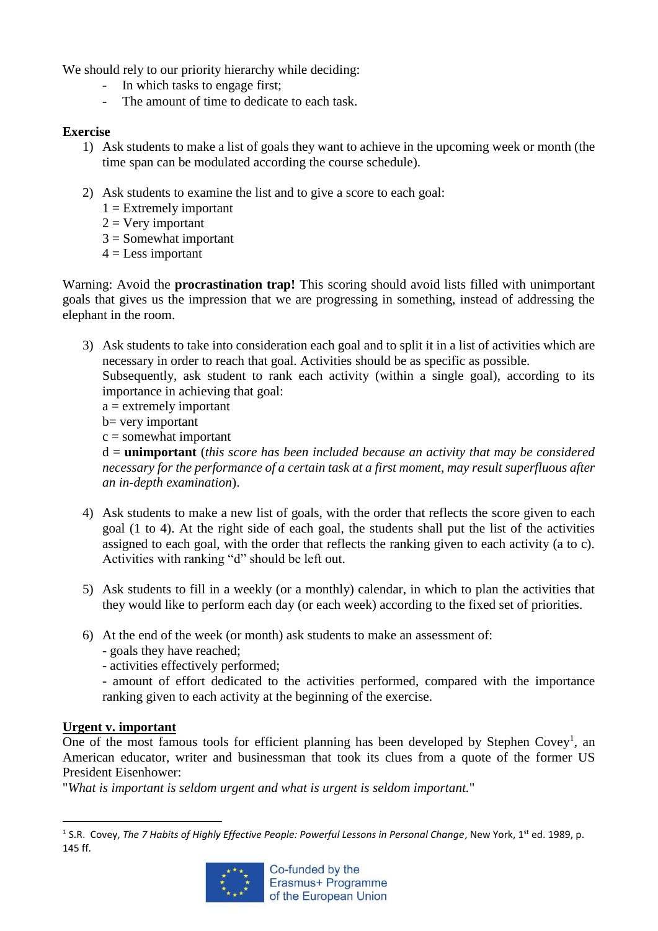We should rely to our priority hierarchy while deciding:

- In which tasks to engage first;
- The amount of time to dedicate to each task.

## **Exercise**

- 1) Ask students to make a list of goals they want to achieve in the upcoming week or month (the time span can be modulated according the course schedule).
- 2) Ask students to examine the list and to give a score to each goal:
	- $1 =$  Extremely important
	- $2 = V$ ery important
	- $3 =$  Somewhat important
	- $4 =$ Less important

Warning: Avoid the **procrastination trap!** This scoring should avoid lists filled with unimportant goals that gives us the impression that we are progressing in something, instead of addressing the elephant in the room.

3) Ask students to take into consideration each goal and to split it in a list of activities which are necessary in order to reach that goal. Activities should be as specific as possible.

Subsequently, ask student to rank each activity (within a single goal), according to its importance in achieving that goal:

- $a =$  extremely important
- b= very important

 $c =$ somewhat important

d = **unimportant** (*this score has been included because an activity that may be considered necessary for the performance of a certain task at a first moment, may result superfluous after an in-depth examination*).

- 4) Ask students to make a new list of goals, with the order that reflects the score given to each goal (1 to 4). At the right side of each goal, the students shall put the list of the activities assigned to each goal, with the order that reflects the ranking given to each activity (a to c). Activities with ranking "d" should be left out.
- 5) Ask students to fill in a weekly (or a monthly) calendar, in which to plan the activities that they would like to perform each day (or each week) according to the fixed set of priorities.
- 6) At the end of the week (or month) ask students to make an assessment of:
	- goals they have reached;
	- activities effectively performed;

- amount of effort dedicated to the activities performed, compared with the importance ranking given to each activity at the beginning of the exercise.

## **Urgent v. important**

**.** 

One of the most famous tools for efficient planning has been developed by Stephen Covey<sup>1</sup>, an American educator, writer and businessman that took its clues from a quote of the former US President Eisenhower:

"*What is important is seldom urgent and what is urgent is seldom important.*"

<sup>&</sup>lt;sup>1</sup> S.R. Covey, The 7 Habits of Highly Effective People: Powerful Lessons in Personal Change, New York, 1<sup>st</sup> ed. 1989, p. 145 ff.

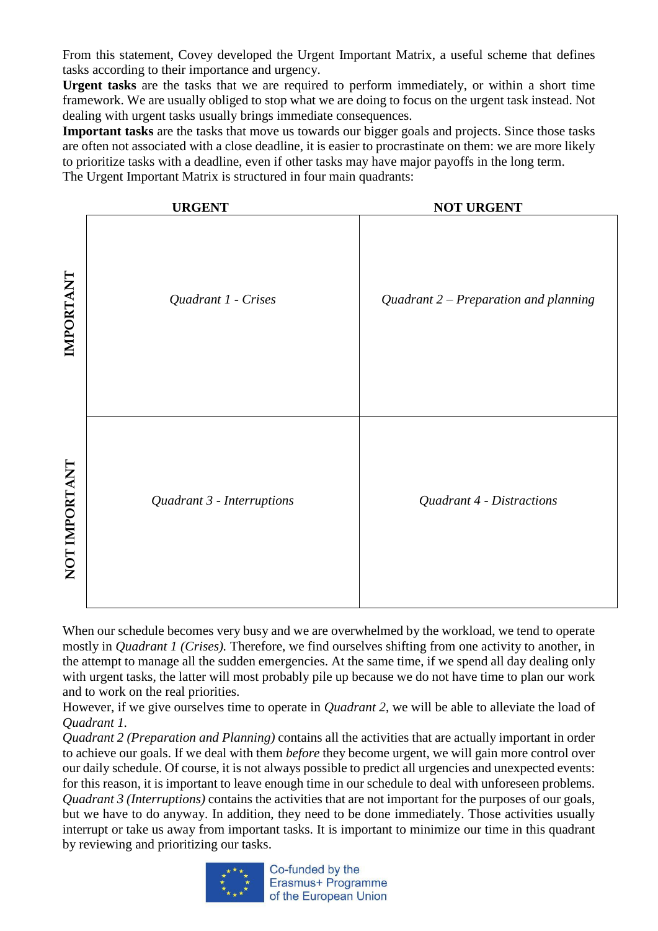From this statement, Covey developed the Urgent Important Matrix, a useful scheme that defines tasks according to their importance and urgency.

**Urgent tasks** are the tasks that we are required to perform immediately, or within a short time framework. We are usually obliged to stop what we are doing to focus on the urgent task instead. Not dealing with urgent tasks usually brings immediate consequences.

**Important tasks** are the tasks that move us towards our bigger goals and projects. Since those tasks are often not associated with a close deadline, it is easier to procrastinate on them: we are more likely to prioritize tasks with a deadline, even if other tasks may have major payoffs in the long term. The Urgent Important Matrix is structured in four main quadrants:



When our schedule becomes very busy and we are overwhelmed by the workload, we tend to operate mostly in *Quadrant 1 (Crises).* Therefore, we find ourselves shifting from one activity to another, in the attempt to manage all the sudden emergencies. At the same time, if we spend all day dealing only with urgent tasks, the latter will most probably pile up because we do not have time to plan our work and to work on the real priorities.

However, if we give ourselves time to operate in *Quadrant 2*, we will be able to alleviate the load of *Quadrant 1.* 

*Quadrant 2 (Preparation and Planning)* contains all the activities that are actually important in order to achieve our goals. If we deal with them *before* they become urgent, we will gain more control over our daily schedule. Of course, it is not always possible to predict all urgencies and unexpected events: for this reason, it is important to leave enough time in our schedule to deal with unforeseen problems. *Quadrant 3 (Interruptions)* contains the activities that are not important for the purposes of our goals, but we have to do anyway. In addition, they need to be done immediately. Those activities usually interrupt or take us away from important tasks. It is important to minimize our time in this quadrant



Co-funded by the Erasmus+ Programme of the European Union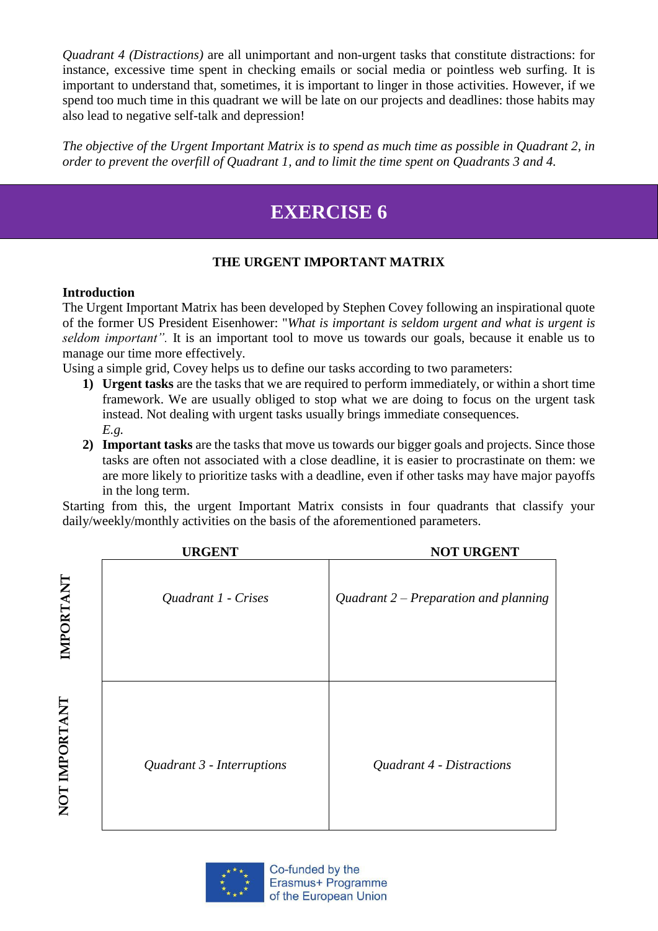*Quadrant 4 (Distractions)* are all unimportant and non-urgent tasks that constitute distractions: for instance, excessive time spent in checking emails or social media or pointless web surfing. It is important to understand that, sometimes, it is important to linger in those activities. However, if we spend too much time in this quadrant we will be late on our projects and deadlines: those habits may also lead to negative self-talk and depression!

*The objective of the Urgent Important Matrix is to spend as much time as possible in Quadrant 2, in order to prevent the overfill of Quadrant 1, and to limit the time spent on Quadrants 3 and 4.*

# **EXERCISE 6**

## **THE URGENT IMPORTANT MATRIX**

## **Introduction**

The Urgent Important Matrix has been developed by Stephen Covey following an inspirational quote of the former US President Eisenhower: "*What is important is seldom urgent and what is urgent is seldom important".* It is an important tool to move us towards our goals, because it enable us to manage our time more effectively.

Using a simple grid, Covey helps us to define our tasks according to two parameters:

- **1) Urgent tasks** are the tasks that we are required to perform immediately, or within a short time framework. We are usually obliged to stop what we are doing to focus on the urgent task instead. Not dealing with urgent tasks usually brings immediate consequences. *E.g.*
- **2) Important tasks** are the tasks that move us towards our bigger goals and projects. Since those tasks are often not associated with a close deadline, it is easier to procrastinate on them: we are more likely to prioritize tasks with a deadline, even if other tasks may have major payoffs in the long term.

Starting from this, the urgent Important Matrix consists in four quadrants that classify your daily/weekly/monthly activities on the basis of the aforementioned parameters.

|               | <b>URGENT</b>              | <b>NOT URGENT</b>                       |
|---------------|----------------------------|-----------------------------------------|
| IMPORTANT     | Quadrant 1 - Crises        | Quadrant $2$ – Preparation and planning |
| NOT IMPORTANT | Quadrant 3 - Interruptions | Quadrant 4 - Distractions               |

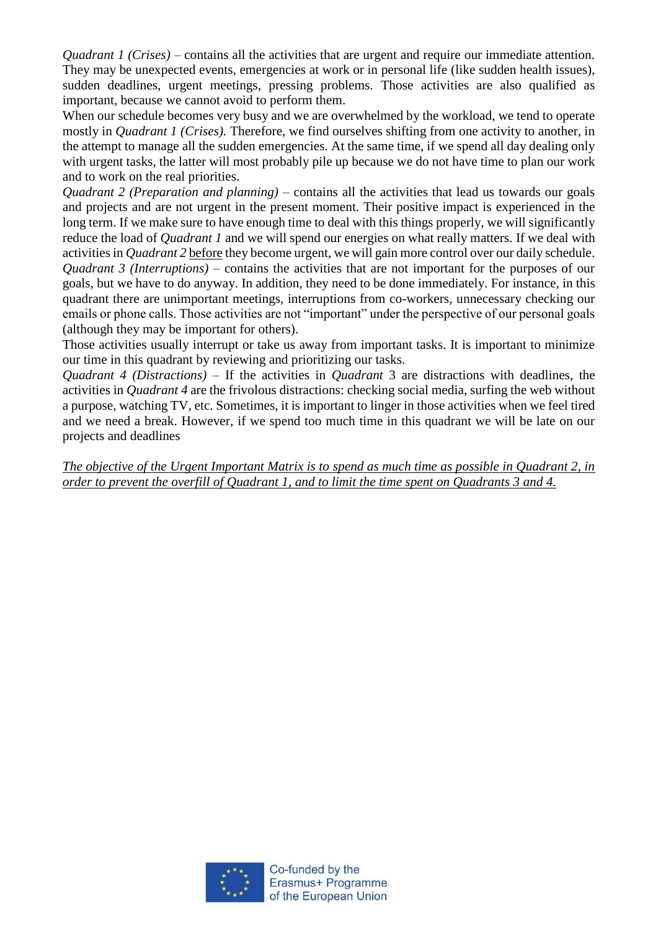*Quadrant 1 (Crises)* – contains all the activities that are urgent and require our immediate attention. They may be unexpected events, emergencies at work or in personal life (like sudden health issues), sudden deadlines, urgent meetings, pressing problems. Those activities are also qualified as important, because we cannot avoid to perform them.

When our schedule becomes very busy and we are overwhelmed by the workload, we tend to operate mostly in *Quadrant 1 (Crises).* Therefore, we find ourselves shifting from one activity to another, in the attempt to manage all the sudden emergencies. At the same time, if we spend all day dealing only with urgent tasks, the latter will most probably pile up because we do not have time to plan our work and to work on the real priorities.

*Quadrant 2 (Preparation and planning) –* contains all the activities that lead us towards our goals and projects and are not urgent in the present moment. Their positive impact is experienced in the long term. If we make sure to have enough time to deal with this things properly, we will significantly reduce the load of *Quadrant 1* and we will spend our energies on what really matters. If we deal with activities in *Quadrant 2* before they become urgent, we will gain more control over our daily schedule. *Quadrant 3 (Interruptions)* – contains the activities that are not important for the purposes of our goals, but we have to do anyway. In addition, they need to be done immediately. For instance, in this quadrant there are unimportant meetings, interruptions from co-workers, unnecessary checking our emails or phone calls. Those activities are not "important" under the perspective of our personal goals (although they may be important for others).

Those activities usually interrupt or take us away from important tasks. It is important to minimize our time in this quadrant by reviewing and prioritizing our tasks.

*Quadrant 4 (Distractions)* – If the activities in *Quadrant* 3 are distractions with deadlines, the activities in *Quadrant 4* are the frivolous distractions: checking social media, surfing the web without a purpose, watching TV, etc. Sometimes, it is important to linger in those activities when we feel tired and we need a break. However, if we spend too much time in this quadrant we will be late on our projects and deadlines

*The objective of the Urgent Important Matrix is to spend as much time as possible in Quadrant 2, in order to prevent the overfill of Quadrant 1, and to limit the time spent on Quadrants 3 and 4.*

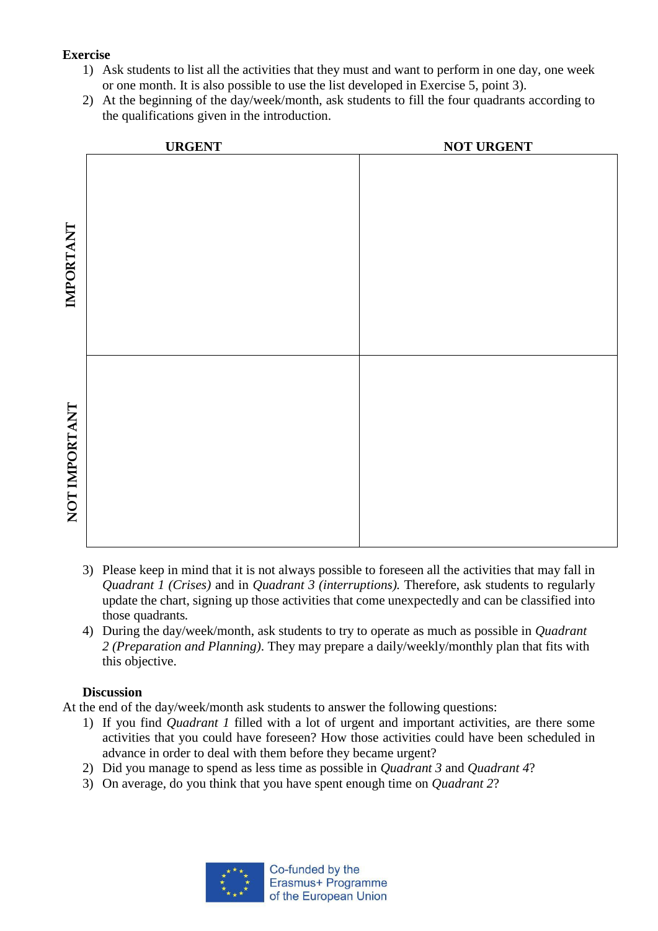## **Exercise**

- 1) Ask students to list all the activities that they must and want to perform in one day, one week or one month. It is also possible to use the list developed in Exercise 5, point 3).
- 2) At the beginning of the day/week/month, ask students to fill the four quadrants according to the qualifications given in the introduction.



- 3) Please keep in mind that it is not always possible to foreseen all the activities that may fall in *Quadrant 1 (Crises)* and in *Quadrant 3 (interruptions).* Therefore, ask students to regularly update the chart, signing up those activities that come unexpectedly and can be classified into those quadrants*.*
- 4) During the day/week/month, ask students to try to operate as much as possible in *Quadrant 2 (Preparation and Planning)*. They may prepare a daily/weekly/monthly plan that fits with this objective.

## **Discussion**

At the end of the day/week/month ask students to answer the following questions:

- 1) If you find *Quadrant 1* filled with a lot of urgent and important activities, are there some activities that you could have foreseen? How those activities could have been scheduled in advance in order to deal with them before they became urgent?
- 2) Did you manage to spend as less time as possible in *Quadrant 3* and *Quadrant 4*?
- 3) On average, do you think that you have spent enough time on *Quadrant 2*?

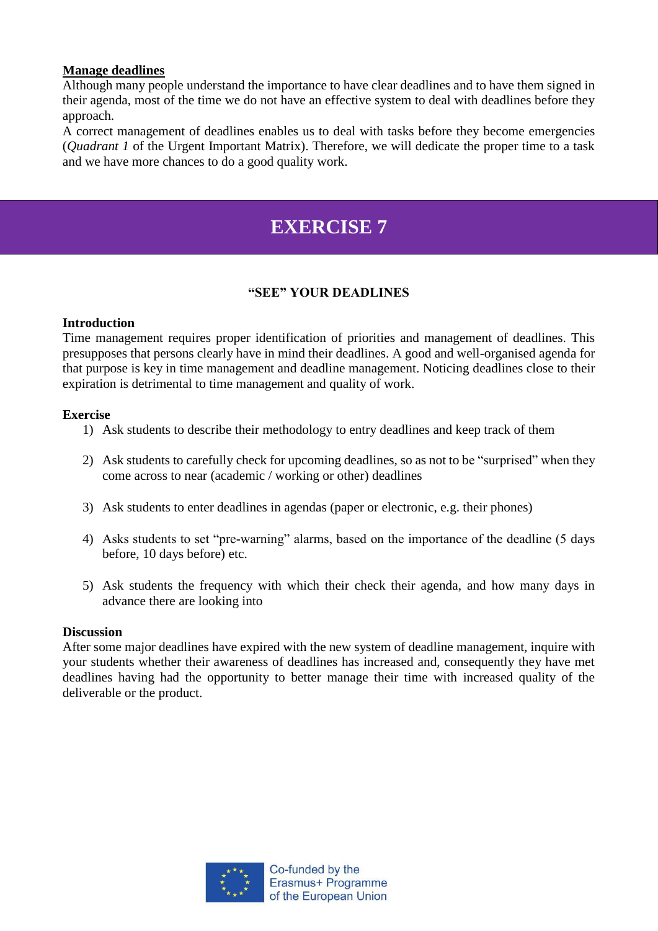### **Manage deadlines**

Although many people understand the importance to have clear deadlines and to have them signed in their agenda, most of the time we do not have an effective system to deal with deadlines before they approach.

A correct management of deadlines enables us to deal with tasks before they become emergencies (*Quadrant 1* of the Urgent Important Matrix). Therefore, we will dedicate the proper time to a task and we have more chances to do a good quality work.

# **EXERCISE 7**

## **"SEE" YOUR DEADLINES**

## **Introduction**

Time management requires proper identification of priorities and management of deadlines. This presupposes that persons clearly have in mind their deadlines. A good and well-organised agenda for that purpose is key in time management and deadline management. Noticing deadlines close to their expiration is detrimental to time management and quality of work.

### **Exercise**

- 1) Ask students to describe their methodology to entry deadlines and keep track of them
- 2) Ask students to carefully check for upcoming deadlines, so as not to be "surprised" when they come across to near (academic / working or other) deadlines
- 3) Ask students to enter deadlines in agendas (paper or electronic, e.g. their phones)
- 4) Asks students to set "pre-warning" alarms, based on the importance of the deadline (5 days before, 10 days before) etc.
- 5) Ask students the frequency with which their check their agenda, and how many days in advance there are looking into

### **Discussion**

After some major deadlines have expired with the new system of deadline management, inquire with your students whether their awareness of deadlines has increased and, consequently they have met deadlines having had the opportunity to better manage their time with increased quality of the deliverable or the product.

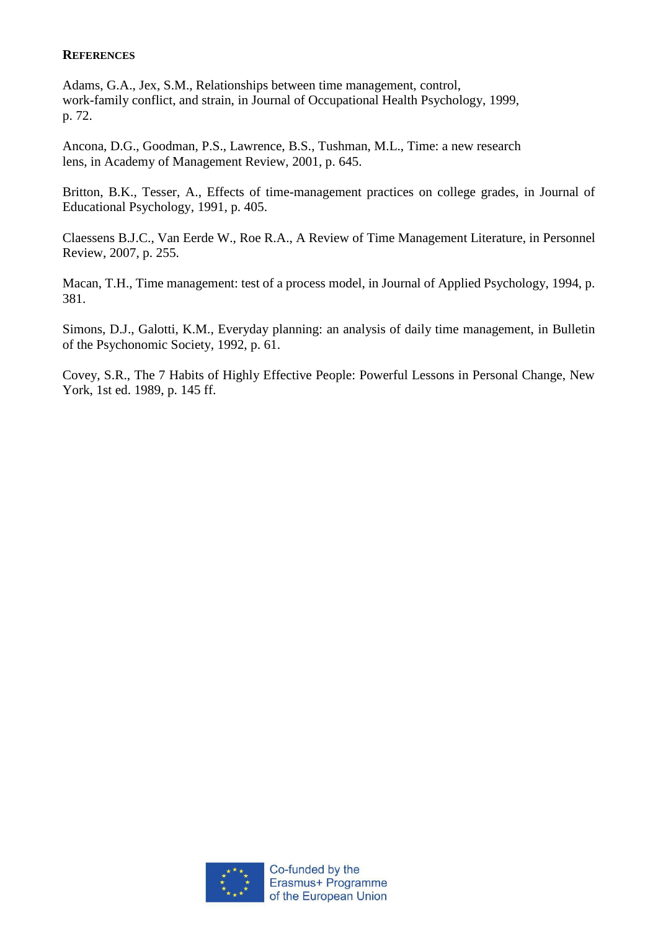### **REFERENCES**

Adams, G.A., Jex, S.M., Relationships between time management, control, work-family conflict, and strain, in Journal of Occupational Health Psychology, 1999, p. 72.

Ancona, D.G., Goodman, P.S., Lawrence, B.S., Tushman, M.L., Time: a new research lens, in Academy of Management Review, 2001, p. 645.

Britton, B.K., Tesser, A., Effects of time-management practices on college grades, in Journal of Educational Psychology, 1991, p. 405.

Claessens B.J.C., Van Eerde W., Roe R.A., A Review of Time Management Literature, in Personnel Review, 2007, p. 255.

Macan, T.H., Time management: test of a process model, in Journal of Applied Psychology, 1994, p. 381.

Simons, D.J., Galotti, K.M., Everyday planning: an analysis of daily time management, in Bulletin of the Psychonomic Society, 1992, p. 61.

Covey, S.R., The 7 Habits of Highly Effective People: Powerful Lessons in Personal Change, New York, 1st ed. 1989, p. 145 ff.